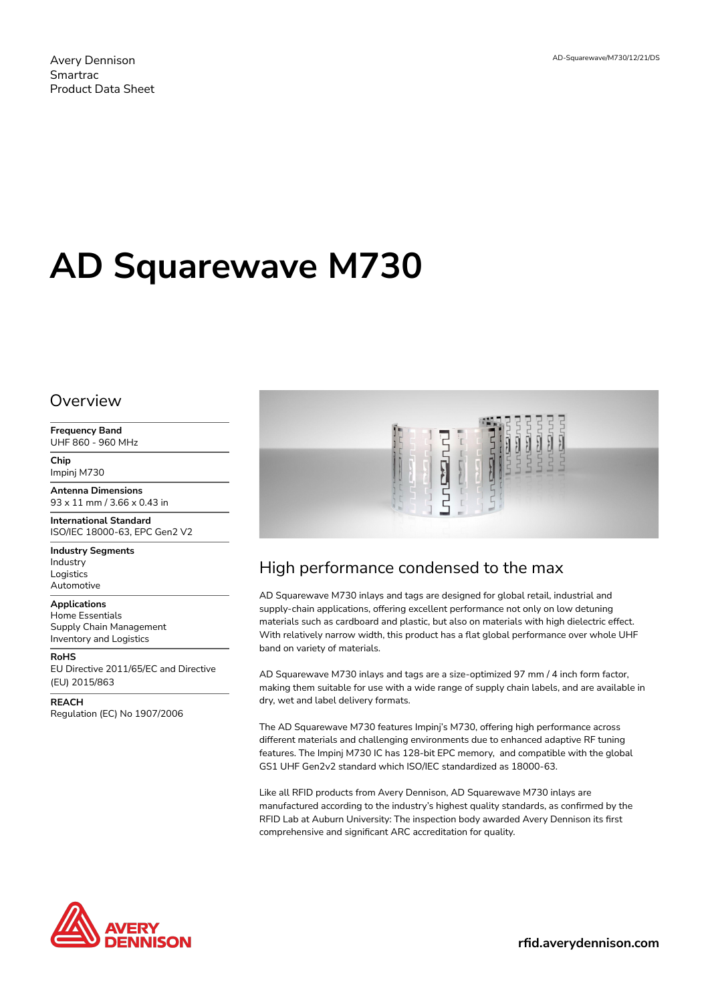Avery Dennison Smartrac Product Data Sheet

# **AD Squarewave M730**

#### Overview

**Frequency Band** UHF 860 - 960 MHz

**Chip** Impinj M730

**Antenna Dimensions** 93 x 11 mm / 3.66 x 0.43 in

**International Standard** ISO/IEC 18000-63, EPC Gen2 V2

**Industry Segments** Industry Logistics Automotive

**Applications** Home Essentials Supply Chain Management Inventory and Logistics

**RoHS** EU Directive 2011/65/EC and Directive (EU) 2015/863

**REACH** Regulation (EC) No 1907/2006



## High performance condensed to the max

AD Squarewave M730 inlays and tags are designed for global retail, industrial and supply-chain applications, offering excellent performance not only on low detuning materials such as cardboard and plastic, but also on materials with high dielectric effect. With relatively narrow width, this product has a flat global performance over whole UHF band on variety of materials.

AD Squarewave M730 inlays and tags are a size-optimized 97 mm / 4 inch form factor, making them suitable for use with a wide range of supply chain labels, and are available in dry, wet and label delivery formats.

The AD Squarewave M730 features Impinj's M730, offering high performance across different materials and challenging environments due to enhanced adaptive RF tuning features. The Impinj M730 IC has 128-bit EPC memory, and compatible with the global GS1 UHF Gen2v2 standard which ISO/IEC standardized as 18000-63.

Like all RFID products from Avery Dennison, AD Squarewave M730 inlays are manufactured according to the industry's highest quality standards, as confirmed by the RFID Lab at Auburn University: The inspection body awarded Avery Dennison its first comprehensive and significant ARC accreditation for quality.